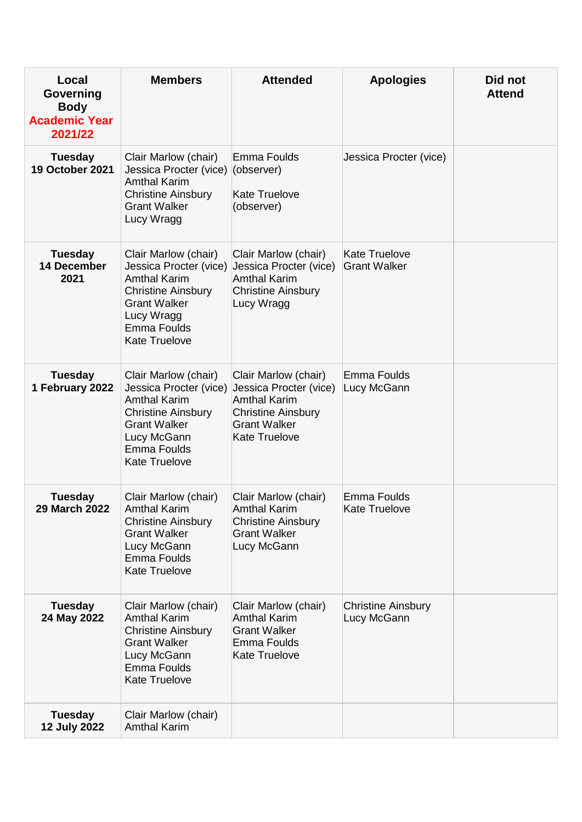| Local<br><b>Governing</b><br><b>Body</b><br><b>Academic Year</b><br>2021/22 | <b>Members</b>                                                                                                                                                                         | <b>Attended</b>                                                                                                                                   | <b>Apologies</b>                            | Did not<br><b>Attend</b> |
|-----------------------------------------------------------------------------|----------------------------------------------------------------------------------------------------------------------------------------------------------------------------------------|---------------------------------------------------------------------------------------------------------------------------------------------------|---------------------------------------------|--------------------------|
| <b>Tuesday</b><br><b>19 October 2021</b>                                    | Clair Marlow (chair)<br>Jessica Procter (vice) (observer)<br><b>Amthal Karim</b><br><b>Christine Ainsbury</b><br><b>Grant Walker</b><br>Lucy Wragg                                     | Emma Foulds<br><b>Kate Truelove</b><br>(observer)                                                                                                 | Jessica Procter (vice)                      |                          |
| <b>Tuesday</b><br><b>14 December</b><br>2021                                | Clair Marlow (chair)<br>Jessica Procter (vice)<br><b>Amthal Karim</b><br><b>Christine Ainsbury</b><br><b>Grant Walker</b><br>Lucy Wragg<br>Emma Foulds<br><b>Kate Truelove</b>         | Clair Marlow (chair)<br>Jessica Procter (vice)<br><b>Amthal Karim</b><br><b>Christine Ainsbury</b><br>Lucy Wragg                                  | <b>Kate Truelove</b><br><b>Grant Walker</b> |                          |
| <b>Tuesday</b><br>1 February 2022                                           | Clair Marlow (chair)<br>Jessica Procter (vice)<br><b>Amthal Karim</b><br><b>Christine Ainsbury</b><br><b>Grant Walker</b><br>Lucy McGann<br><b>Emma Foulds</b><br><b>Kate Truelove</b> | Clair Marlow (chair)<br>Jessica Procter (vice)<br><b>Amthal Karim</b><br><b>Christine Ainsbury</b><br><b>Grant Walker</b><br><b>Kate Truelove</b> | <b>Emma Foulds</b><br>Lucy McGann           |                          |
| <b>Tuesday</b><br>29 March 2022                                             | Clair Marlow (chair)<br><b>Amthal Karim</b><br><b>Christine Ainsbury</b><br><b>Grant Walker</b><br>Lucy McGann<br><b>Emma Foulds</b><br><b>Kate Truelove</b>                           | Clair Marlow (chair)<br><b>Amthal Karim</b><br><b>Christine Ainsbury</b><br><b>Grant Walker</b><br>Lucy McGann                                    | <b>Emma Foulds</b><br><b>Kate Truelove</b>  |                          |
| <b>Tuesday</b><br>24 May 2022                                               | Clair Marlow (chair)<br><b>Amthal Karim</b><br><b>Christine Ainsbury</b><br><b>Grant Walker</b><br>Lucy McGann<br>Emma Foulds<br><b>Kate Truelove</b>                                  | Clair Marlow (chair)<br><b>Amthal Karim</b><br><b>Grant Walker</b><br>Emma Foulds<br><b>Kate Truelove</b>                                         | <b>Christine Ainsbury</b><br>Lucy McGann    |                          |
| <b>Tuesday</b><br><b>12 July 2022</b>                                       | Clair Marlow (chair)<br><b>Amthal Karim</b>                                                                                                                                            |                                                                                                                                                   |                                             |                          |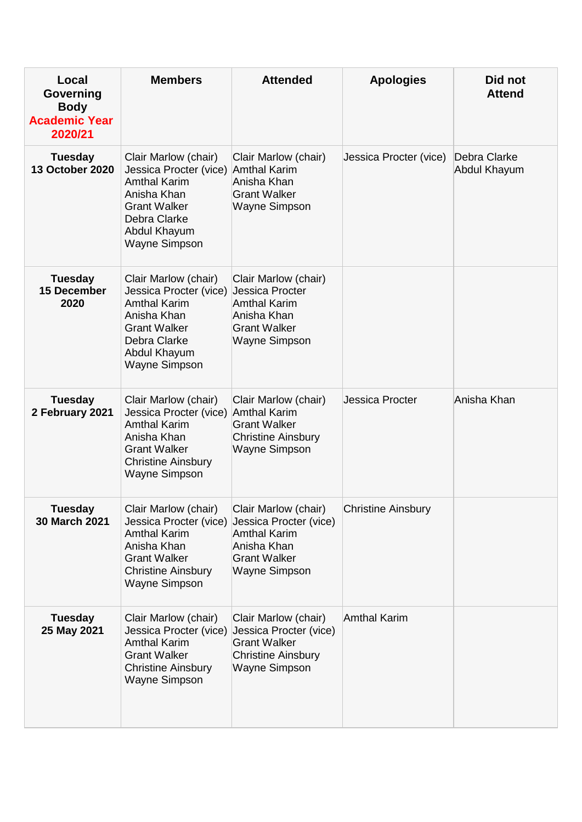| Local<br>Governing<br><b>Body</b><br><b>Academic Year</b><br>2020/21 | <b>Members</b>                                                                                                                                                                   | <b>Attended</b>                                                                                                                     | <b>Apologies</b>          | Did not<br><b>Attend</b>     |
|----------------------------------------------------------------------|----------------------------------------------------------------------------------------------------------------------------------------------------------------------------------|-------------------------------------------------------------------------------------------------------------------------------------|---------------------------|------------------------------|
| <b>Tuesday</b><br><b>13 October 2020</b>                             | Clair Marlow (chair)<br>Jessica Procter (vice) Amthal Karim<br><b>Amthal Karim</b><br>Anisha Khan<br><b>Grant Walker</b><br>Debra Clarke<br>Abdul Khayum<br><b>Wayne Simpson</b> | Clair Marlow (chair)<br>Anisha Khan<br><b>Grant Walker</b><br><b>Wayne Simpson</b>                                                  | Jessica Procter (vice)    | Debra Clarke<br>Abdul Khayum |
| <b>Tuesday</b><br>15 December<br>2020                                | Clair Marlow (chair)<br>Jessica Procter (vice)<br><b>Amthal Karim</b><br>Anisha Khan<br><b>Grant Walker</b><br>Debra Clarke<br>Abdul Khayum<br><b>Wayne Simpson</b>              | Clair Marlow (chair)<br>Jessica Procter<br><b>Amthal Karim</b><br>Anisha Khan<br><b>Grant Walker</b><br><b>Wayne Simpson</b>        |                           |                              |
| <b>Tuesday</b><br>2 February 2021                                    | Clair Marlow (chair)<br>Jessica Procter (vice) Amthal Karim<br><b>Amthal Karim</b><br>Anisha Khan<br><b>Grant Walker</b><br><b>Christine Ainsbury</b><br><b>Wayne Simpson</b>    | Clair Marlow (chair)<br><b>Grant Walker</b><br><b>Christine Ainsbury</b><br><b>Wayne Simpson</b>                                    | Jessica Procter           | Anisha Khan                  |
| <b>Tuesday</b><br>30 March 2021                                      | Clair Marlow (chair)<br>Jessica Procter (vice)<br><b>Amthal Karim</b><br>Anisha Khan<br><b>Grant Walker</b><br><b>Christine Ainsbury</b><br><b>Wayne Simpson</b>                 | Clair Marlow (chair)<br>Jessica Procter (vice)<br><b>Amthal Karim</b><br>Anisha Khan<br><b>Grant Walker</b><br><b>Wayne Simpson</b> | <b>Christine Ainsbury</b> |                              |
| <b>Tuesday</b><br>25 May 2021                                        | Clair Marlow (chair)<br>Jessica Procter (vice)<br><b>Amthal Karim</b><br><b>Grant Walker</b><br><b>Christine Ainsbury</b><br><b>Wayne Simpson</b>                                | Clair Marlow (chair)<br>Jessica Procter (vice)<br><b>Grant Walker</b><br><b>Christine Ainsbury</b><br><b>Wayne Simpson</b>          | <b>Amthal Karim</b>       |                              |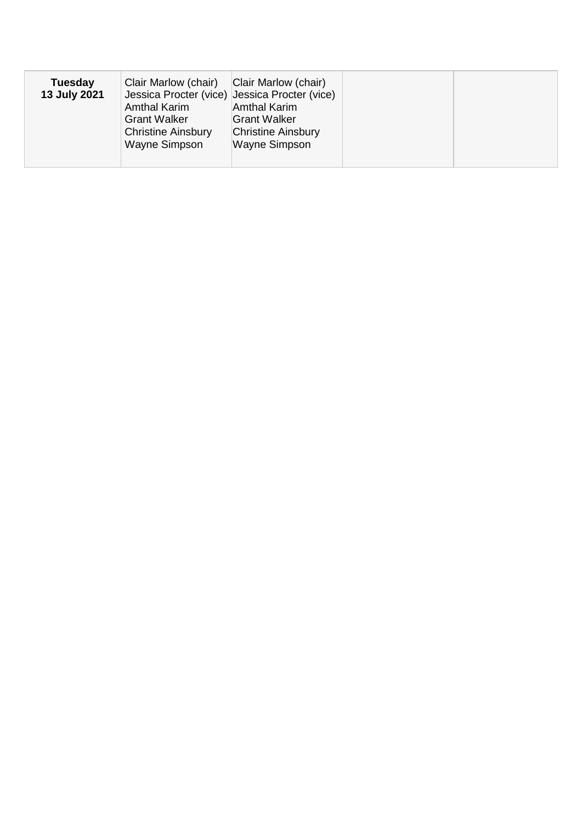| <b>Tuesday</b><br>13 July 2021 | Clair Marlow (chair)<br>Jessica Procter (vice) Jessica Procter (vice)<br><b>Amthal Karim</b><br><b>Grant Walker</b><br><b>Christine Ainsbury</b><br>Wayne Simpson | Clair Marlow (chair)<br><b>Amthal Karim</b><br><b>Grant Walker</b><br><b>Christine Ainsbury</b><br>Wayne Simpson |  |
|--------------------------------|-------------------------------------------------------------------------------------------------------------------------------------------------------------------|------------------------------------------------------------------------------------------------------------------|--|
|                                |                                                                                                                                                                   |                                                                                                                  |  |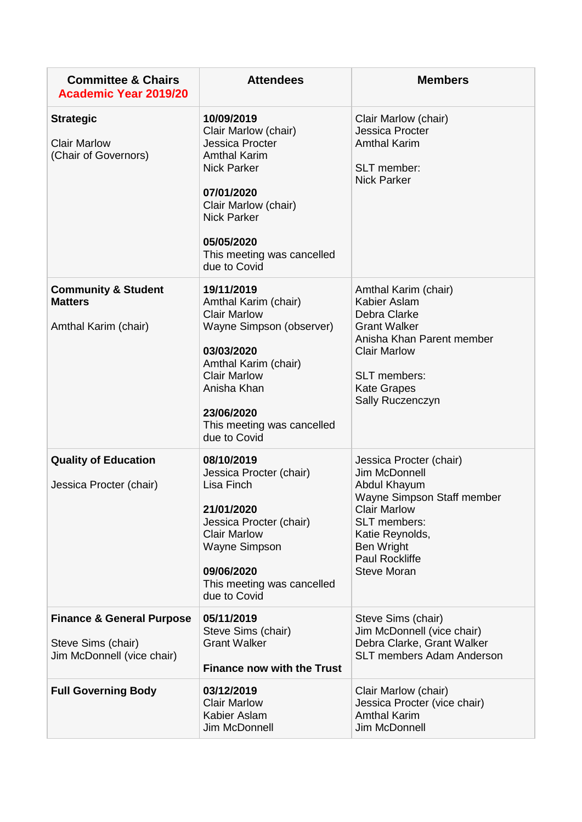| <b>Committee &amp; Chairs</b><br><b>Academic Year 2019/20</b>                            | <b>Attendees</b>                                                                                                                                                                                                              | <b>Members</b>                                                                                                                                                                                                       |
|------------------------------------------------------------------------------------------|-------------------------------------------------------------------------------------------------------------------------------------------------------------------------------------------------------------------------------|----------------------------------------------------------------------------------------------------------------------------------------------------------------------------------------------------------------------|
| <b>Strategic</b><br><b>Clair Marlow</b><br>(Chair of Governors)                          | 10/09/2019<br>Clair Marlow (chair)<br>Jessica Procter<br><b>Amthal Karim</b><br><b>Nick Parker</b><br>07/01/2020<br>Clair Marlow (chair)<br><b>Nick Parker</b><br>05/05/2020<br>This meeting was cancelled<br>due to Covid    | Clair Marlow (chair)<br><b>Jessica Procter</b><br><b>Amthal Karim</b><br>SLT member:<br><b>Nick Parker</b>                                                                                                           |
| <b>Community &amp; Student</b><br><b>Matters</b><br>Amthal Karim (chair)                 | 19/11/2019<br>Amthal Karim (chair)<br><b>Clair Marlow</b><br>Wayne Simpson (observer)<br>03/03/2020<br>Amthal Karim (chair)<br><b>Clair Marlow</b><br>Anisha Khan<br>23/06/2020<br>This meeting was cancelled<br>due to Covid | Amthal Karim (chair)<br>Kabier Aslam<br>Debra Clarke<br><b>Grant Walker</b><br>Anisha Khan Parent member<br><b>Clair Marlow</b><br>SLT members:<br><b>Kate Grapes</b><br>Sally Ruczenczyn                            |
| <b>Quality of Education</b><br>Jessica Procter (chair)                                   | 08/10/2019<br>Jessica Procter (chair)<br>Lisa Finch<br>21/01/2020<br>Jessica Procter (chair)<br><b>Clair Marlow</b><br>Wayne Simpson<br>09/06/2020<br>This meeting was cancelled<br>due to Covid                              | Jessica Procter (chair)<br>Jim McDonnell<br>Abdul Khayum<br>Wayne Simpson Staff member<br><b>Clair Marlow</b><br><b>SLT</b> members:<br>Katie Reynolds,<br>Ben Wright<br><b>Paul Rockliffe</b><br><b>Steve Moran</b> |
| <b>Finance &amp; General Purpose</b><br>Steve Sims (chair)<br>Jim McDonnell (vice chair) | 05/11/2019<br>Steve Sims (chair)<br><b>Grant Walker</b><br><b>Finance now with the Trust</b>                                                                                                                                  | Steve Sims (chair)<br>Jim McDonnell (vice chair)<br>Debra Clarke, Grant Walker<br><b>SLT members Adam Anderson</b>                                                                                                   |
| <b>Full Governing Body</b>                                                               | 03/12/2019<br><b>Clair Marlow</b><br>Kabier Aslam<br>Jim McDonnell                                                                                                                                                            | Clair Marlow (chair)<br>Jessica Procter (vice chair)<br><b>Amthal Karim</b><br>Jim McDonnell                                                                                                                         |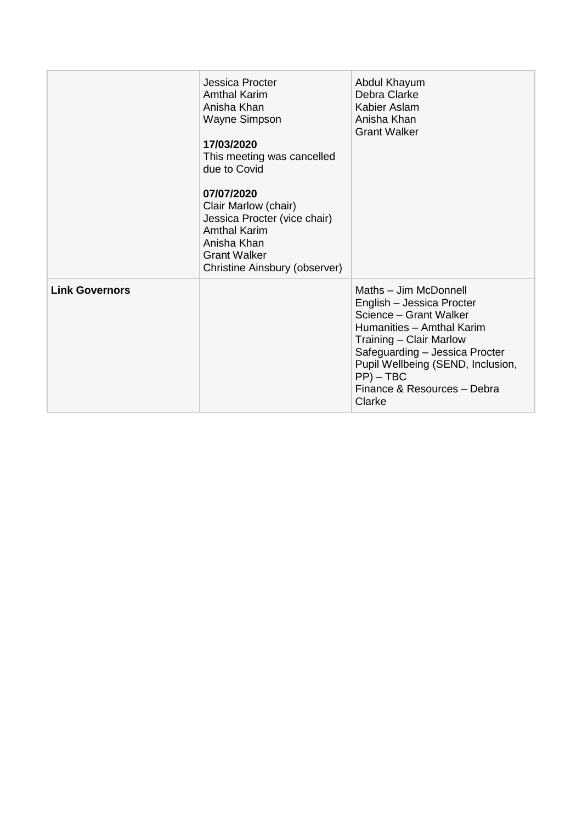|                       | Jessica Procter<br>Amthal Karim<br>Anisha Khan<br><b>Wayne Simpson</b><br>17/03/2020<br>This meeting was cancelled<br>due to Covid<br>07/07/2020<br>Clair Marlow (chair)<br>Jessica Procter (vice chair)<br><b>Amthal Karim</b><br>Anisha Khan<br><b>Grant Walker</b><br>Christine Ainsbury (observer) | Abdul Khayum<br>Debra Clarke<br>Kabier Aslam<br>Anisha Khan<br><b>Grant Walker</b>                                                                                                                                                                                   |
|-----------------------|--------------------------------------------------------------------------------------------------------------------------------------------------------------------------------------------------------------------------------------------------------------------------------------------------------|----------------------------------------------------------------------------------------------------------------------------------------------------------------------------------------------------------------------------------------------------------------------|
| <b>Link Governors</b> |                                                                                                                                                                                                                                                                                                        | Maths - Jim McDonnell<br>English - Jessica Procter<br>Science - Grant Walker<br>Humanities - Amthal Karim<br>Training - Clair Marlow<br>Safeguarding - Jessica Procter<br>Pupil Wellbeing (SEND, Inclusion,<br>$PP$ ) – TBC<br>Finance & Resources - Debra<br>Clarke |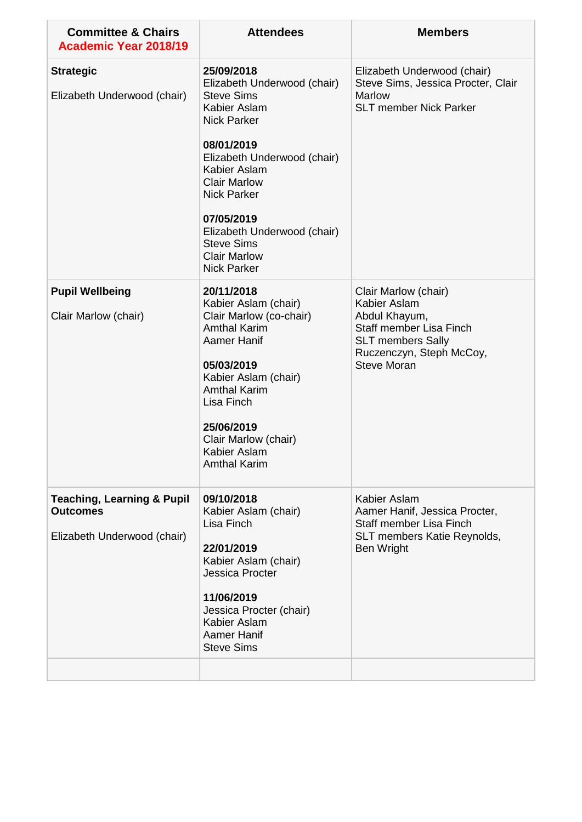| 25/09/2018<br>Elizabeth Underwood (chair)<br><b>Steve Sims</b><br>Kabier Aslam                                                                                                                                                                                     | Elizabeth Underwood (chair)<br>Steve Sims, Jessica Procter, Clair                                                                                              |
|--------------------------------------------------------------------------------------------------------------------------------------------------------------------------------------------------------------------------------------------------------------------|----------------------------------------------------------------------------------------------------------------------------------------------------------------|
| <b>Nick Parker</b><br>08/01/2019<br>Elizabeth Underwood (chair)<br>Kabier Aslam<br><b>Clair Marlow</b><br><b>Nick Parker</b><br>07/05/2019<br>Elizabeth Underwood (chair)<br><b>Steve Sims</b><br><b>Clair Marlow</b><br><b>Nick Parker</b>                        | <b>Marlow</b><br><b>SLT member Nick Parker</b>                                                                                                                 |
| 20/11/2018<br>Kabier Aslam (chair)<br>Clair Marlow (co-chair)<br><b>Amthal Karim</b><br><b>Aamer Hanif</b><br>05/03/2019<br>Kabier Aslam (chair)<br><b>Amthal Karim</b><br>Lisa Finch<br>25/06/2019<br>Clair Marlow (chair)<br>Kabier Aslam<br><b>Amthal Karim</b> | Clair Marlow (chair)<br>Kabier Aslam<br>Abdul Khayum,<br>Staff member Lisa Finch<br><b>SLT members Sally</b><br>Ruczenczyn, Steph McCoy,<br><b>Steve Moran</b> |
| 09/10/2018<br>Kabier Aslam (chair)<br>Lisa Finch<br>22/01/2019<br>Kabier Aslam (chair)<br><b>Jessica Procter</b><br>11/06/2019<br>Jessica Procter (chair)<br>Kabier Aslam<br><b>Aamer Hanif</b><br><b>Steve Sims</b>                                               | Kabier Aslam<br>Aamer Hanif, Jessica Procter,<br>Staff member Lisa Finch<br>SLT members Katie Reynolds,<br>Ben Wright                                          |
|                                                                                                                                                                                                                                                                    |                                                                                                                                                                |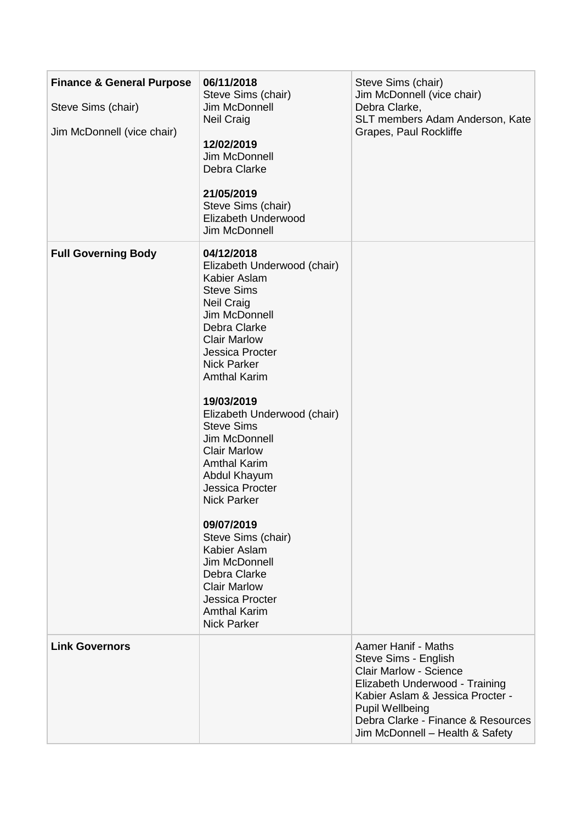| <b>Finance &amp; General Purpose</b><br>Steve Sims (chair)<br>Jim McDonnell (vice chair) | 06/11/2018<br>Steve Sims (chair)<br>Jim McDonnell<br><b>Neil Craig</b><br>12/02/2019<br>Jim McDonnell<br>Debra Clarke<br>21/05/2019<br>Steve Sims (chair)<br>Elizabeth Underwood<br>Jim McDonnell                                                                                                                                                                                                                                                                                                                                                                                                               | Steve Sims (chair)<br>Jim McDonnell (vice chair)<br>Debra Clarke,<br>SLT members Adam Anderson, Kate<br>Grapes, Paul Rockliffe                                                                                                                        |
|------------------------------------------------------------------------------------------|-----------------------------------------------------------------------------------------------------------------------------------------------------------------------------------------------------------------------------------------------------------------------------------------------------------------------------------------------------------------------------------------------------------------------------------------------------------------------------------------------------------------------------------------------------------------------------------------------------------------|-------------------------------------------------------------------------------------------------------------------------------------------------------------------------------------------------------------------------------------------------------|
| <b>Full Governing Body</b>                                                               | 04/12/2018<br>Elizabeth Underwood (chair)<br>Kabier Aslam<br><b>Steve Sims</b><br><b>Neil Craig</b><br>Jim McDonnell<br>Debra Clarke<br><b>Clair Marlow</b><br>Jessica Procter<br><b>Nick Parker</b><br><b>Amthal Karim</b><br>19/03/2019<br>Elizabeth Underwood (chair)<br><b>Steve Sims</b><br>Jim McDonnell<br><b>Clair Marlow</b><br><b>Amthal Karim</b><br>Abdul Khayum<br><b>Jessica Procter</b><br><b>Nick Parker</b><br>09/07/2019<br>Steve Sims (chair)<br>Kabier Aslam<br>Jim McDonnell<br>Debra Clarke<br><b>Clair Marlow</b><br><b>Jessica Procter</b><br><b>Amthal Karim</b><br><b>Nick Parker</b> |                                                                                                                                                                                                                                                       |
| <b>Link Governors</b>                                                                    |                                                                                                                                                                                                                                                                                                                                                                                                                                                                                                                                                                                                                 | Aamer Hanif - Maths<br>Steve Sims - English<br><b>Clair Marlow - Science</b><br>Elizabeth Underwood - Training<br>Kabier Aslam & Jessica Procter -<br><b>Pupil Wellbeing</b><br>Debra Clarke - Finance & Resources<br>Jim McDonnell - Health & Safety |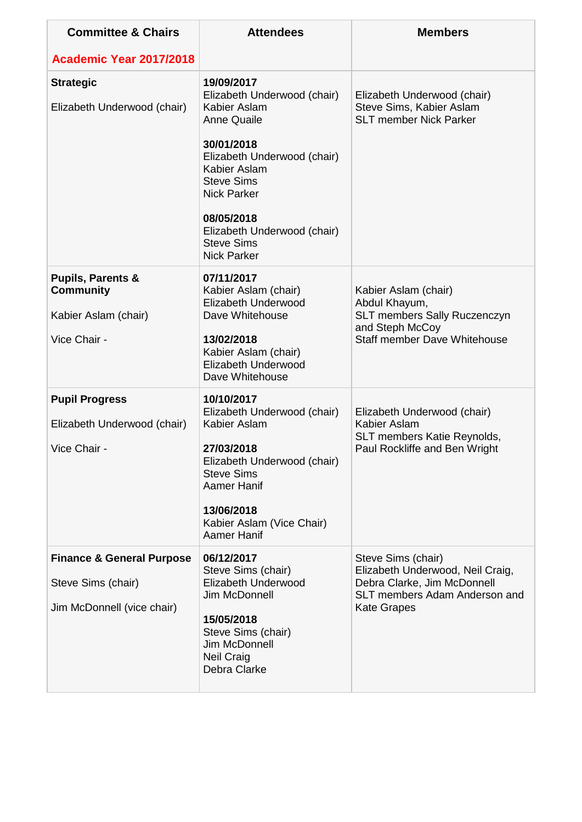| <b>Committee &amp; Chairs</b>                                                            | <b>Attendees</b>                                                                                                                                                                                                                                                                | <b>Members</b>                                                                                                                               |
|------------------------------------------------------------------------------------------|---------------------------------------------------------------------------------------------------------------------------------------------------------------------------------------------------------------------------------------------------------------------------------|----------------------------------------------------------------------------------------------------------------------------------------------|
| <b>Academic Year 2017/2018</b>                                                           |                                                                                                                                                                                                                                                                                 |                                                                                                                                              |
| <b>Strategic</b><br>Elizabeth Underwood (chair)                                          | 19/09/2017<br>Elizabeth Underwood (chair)<br>Kabier Aslam<br><b>Anne Quaile</b><br>30/01/2018<br>Elizabeth Underwood (chair)<br>Kabier Aslam<br><b>Steve Sims</b><br><b>Nick Parker</b><br>08/05/2018<br>Elizabeth Underwood (chair)<br><b>Steve Sims</b><br><b>Nick Parker</b> | Elizabeth Underwood (chair)<br>Steve Sims, Kabier Aslam<br><b>SLT member Nick Parker</b>                                                     |
| <b>Pupils, Parents &amp;</b><br><b>Community</b><br>Kabier Aslam (chair)<br>Vice Chair - | 07/11/2017<br>Kabier Aslam (chair)<br>Elizabeth Underwood<br>Dave Whitehouse<br>13/02/2018<br>Kabier Aslam (chair)<br>Elizabeth Underwood<br>Dave Whitehouse                                                                                                                    | Kabier Aslam (chair)<br>Abdul Khayum,<br>SLT members Sally Ruczenczyn<br>and Steph McCoy<br><b>Staff member Dave Whitehouse</b>              |
| <b>Pupil Progress</b><br>Elizabeth Underwood (chair)<br>Vice Chair                       | 10/10/2017<br>Elizabeth Underwood (chair)<br>Kabier Aslam<br>27/03/2018<br>Elizabeth Underwood (chair)<br><b>Steve Sims</b><br><b>Aamer Hanif</b><br>13/06/2018<br>Kabier Aslam (Vice Chair)<br>Aamer Hanif                                                                     | Elizabeth Underwood (chair)<br>Kabier Aslam<br>SLT members Katie Reynolds,<br>Paul Rockliffe and Ben Wright                                  |
| <b>Finance &amp; General Purpose</b><br>Steve Sims (chair)<br>Jim McDonnell (vice chair) | 06/12/2017<br>Steve Sims (chair)<br>Elizabeth Underwood<br>Jim McDonnell<br>15/05/2018<br>Steve Sims (chair)<br>Jim McDonnell<br><b>Neil Craig</b><br>Debra Clarke                                                                                                              | Steve Sims (chair)<br>Elizabeth Underwood, Neil Craig,<br>Debra Clarke, Jim McDonnell<br>SLT members Adam Anderson and<br><b>Kate Grapes</b> |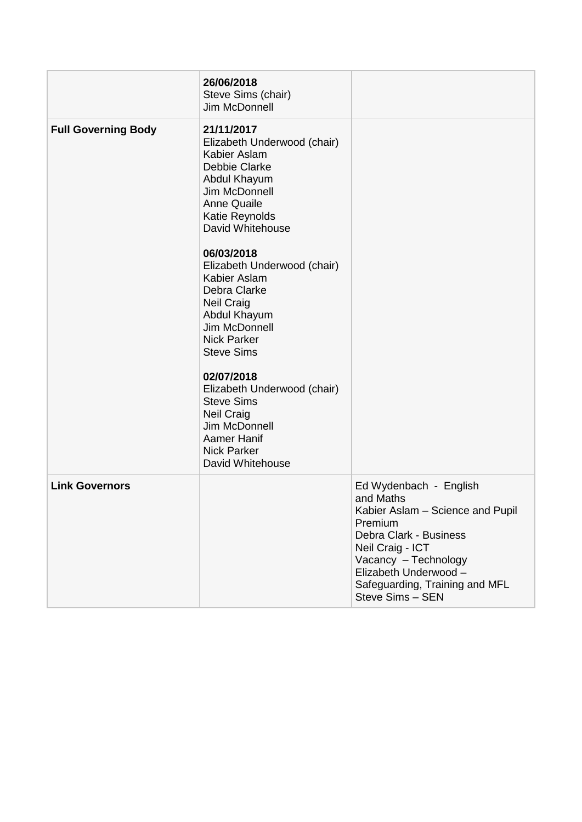|                            | 26/06/2018<br>Steve Sims (chair)<br>Jim McDonnell                                                                                                                                                                                                                                                                                                                                                                                                                                                  |                                                                                                                                                                                                                                         |
|----------------------------|----------------------------------------------------------------------------------------------------------------------------------------------------------------------------------------------------------------------------------------------------------------------------------------------------------------------------------------------------------------------------------------------------------------------------------------------------------------------------------------------------|-----------------------------------------------------------------------------------------------------------------------------------------------------------------------------------------------------------------------------------------|
| <b>Full Governing Body</b> | 21/11/2017<br>Elizabeth Underwood (chair)<br>Kabier Aslam<br>Debbie Clarke<br>Abdul Khayum<br>Jim McDonnell<br><b>Anne Quaile</b><br>Katie Reynolds<br>David Whitehouse<br>06/03/2018<br>Elizabeth Underwood (chair)<br>Kabier Aslam<br>Debra Clarke<br><b>Neil Craig</b><br>Abdul Khayum<br>Jim McDonnell<br><b>Nick Parker</b><br><b>Steve Sims</b><br>02/07/2018<br>Elizabeth Underwood (chair)<br><b>Steve Sims</b><br><b>Neil Craig</b><br>Jim McDonnell<br>Aamer Hanif<br><b>Nick Parker</b> |                                                                                                                                                                                                                                         |
|                            | David Whitehouse                                                                                                                                                                                                                                                                                                                                                                                                                                                                                   |                                                                                                                                                                                                                                         |
| <b>Link Governors</b>      |                                                                                                                                                                                                                                                                                                                                                                                                                                                                                                    | Ed Wydenbach - English<br>and Maths<br>Kabier Aslam - Science and Pupil<br>Premium<br>Debra Clark - Business<br>Neil Craig - ICT<br>Vacancy - Technology<br>Elizabeth Underwood -<br>Safeguarding, Training and MFL<br>Steve Sims - SEN |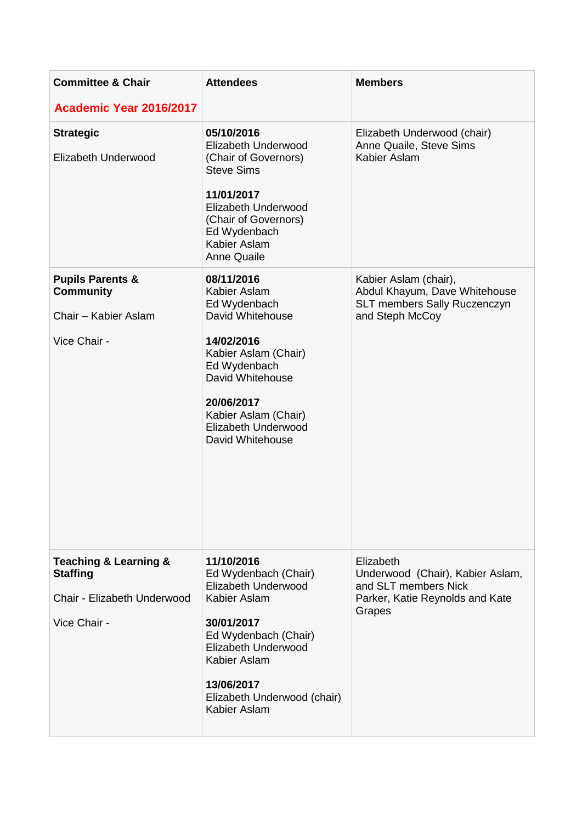| <b>Committee &amp; Chair</b>                                                                           | <b>Attendees</b>                                                                                                                                                                                                    | <b>Members</b>                                                                                                     |  |
|--------------------------------------------------------------------------------------------------------|---------------------------------------------------------------------------------------------------------------------------------------------------------------------------------------------------------------------|--------------------------------------------------------------------------------------------------------------------|--|
| Academic Year 2016/2017                                                                                |                                                                                                                                                                                                                     |                                                                                                                    |  |
| <b>Strategic</b><br>Elizabeth Underwood                                                                | 05/10/2016<br>Elizabeth Underwood<br>(Chair of Governors)<br><b>Steve Sims</b><br>11/01/2017<br>Elizabeth Underwood<br>(Chair of Governors)<br>Ed Wydenbach<br>Kabier Aslam<br><b>Anne Quaile</b>                   | Elizabeth Underwood (chair)<br>Anne Quaile, Steve Sims<br>Kabier Aslam                                             |  |
| <b>Pupils Parents &amp;</b><br><b>Community</b>                                                        | 08/11/2016<br>Kabier Aslam<br>Ed Wydenbach                                                                                                                                                                          | Kabier Aslam (chair),<br>Abdul Khayum, Dave Whitehouse<br>SLT members Sally Ruczenczyn                             |  |
| Chair - Kabier Aslam<br>Vice Chair -                                                                   | David Whitehouse<br>14/02/2016<br>Kabier Aslam (Chair)<br>Ed Wydenbach<br>David Whitehouse<br>20/06/2017<br>Kabier Aslam (Chair)<br>Elizabeth Underwood<br>David Whitehouse                                         | and Steph McCoy                                                                                                    |  |
| <b>Teaching &amp; Learning &amp;</b><br><b>Staffing</b><br>Chair - Elizabeth Underwood<br>Vice Chair - | 11/10/2016<br>Ed Wydenbach (Chair)<br>Elizabeth Underwood<br>Kabier Aslam<br>30/01/2017<br>Ed Wydenbach (Chair)<br>Elizabeth Underwood<br>Kabier Aslam<br>13/06/2017<br>Elizabeth Underwood (chair)<br>Kabier Aslam | Elizabeth<br>Underwood (Chair), Kabier Aslam,<br>and SLT members Nick<br>Parker, Katie Reynolds and Kate<br>Grapes |  |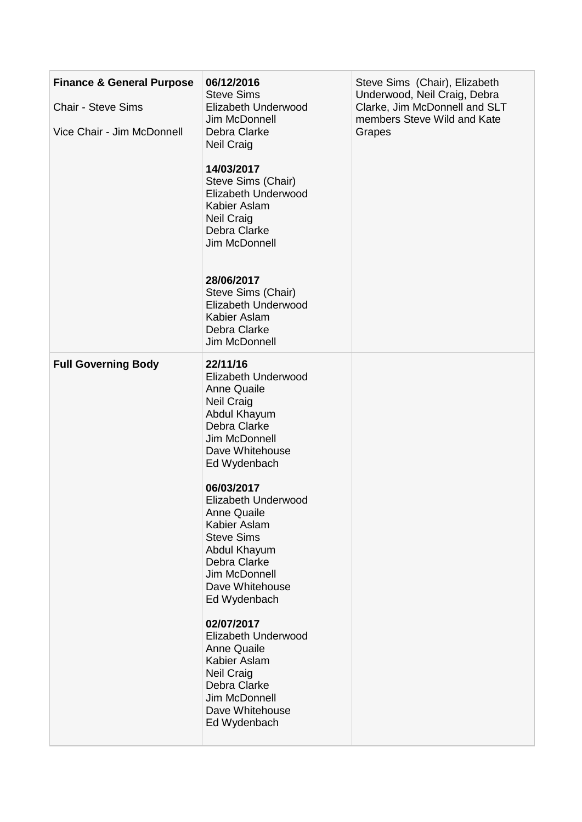| <b>Finance &amp; General Purpose</b> | 06/12/2016                                                                                                                                                                       | Steve Sims (Chair), Elizabeth                                                                          |
|--------------------------------------|----------------------------------------------------------------------------------------------------------------------------------------------------------------------------------|--------------------------------------------------------------------------------------------------------|
| <b>Chair - Steve Sims</b>            | <b>Steve Sims</b><br>Elizabeth Underwood<br>Jim McDonnell<br>Debra Clarke<br><b>Neil Craig</b>                                                                                   | Underwood, Neil Craig, Debra<br>Clarke, Jim McDonnell and SLT<br>members Steve Wild and Kate<br>Grapes |
| Vice Chair - Jim McDonnell           |                                                                                                                                                                                  |                                                                                                        |
|                                      | 14/03/2017<br>Steve Sims (Chair)<br>Elizabeth Underwood<br>Kabier Aslam<br><b>Neil Craig</b><br>Debra Clarke<br>Jim McDonnell                                                    |                                                                                                        |
|                                      | 28/06/2017<br>Steve Sims (Chair)<br>Elizabeth Underwood<br>Kabier Aslam<br>Debra Clarke<br>Jim McDonnell                                                                         |                                                                                                        |
| <b>Full Governing Body</b>           | 22/11/16<br>Elizabeth Underwood<br><b>Anne Quaile</b><br><b>Neil Craig</b><br>Abdul Khayum<br>Debra Clarke<br>Jim McDonnell<br>Dave Whitehouse<br>Ed Wydenbach                   |                                                                                                        |
|                                      | 06/03/2017<br>Elizabeth Underwood<br><b>Anne Quaile</b><br>Kabier Aslam<br><b>Steve Sims</b><br>Abdul Khayum<br>Debra Clarke<br>Jim McDonnell<br>Dave Whitehouse<br>Ed Wydenbach |                                                                                                        |
|                                      | 02/07/2017<br>Elizabeth Underwood<br><b>Anne Quaile</b><br>Kabier Aslam<br><b>Neil Craig</b><br>Debra Clarke<br>Jim McDonnell<br>Dave Whitehouse<br>Ed Wydenbach                 |                                                                                                        |